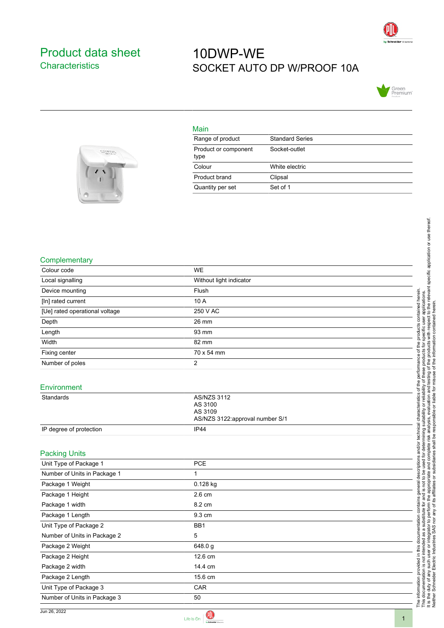

## <span id="page-0-0"></span>Product data sheet **Characteristics**

## 10DWP-WE SOCKET AUTO DP W/PROOF 10A





| <b>Standard Series</b> |
|------------------------|
| Socket-outlet          |
| White electric         |
| Clipsal                |
| Set of 1               |
|                        |

## **Complementary**

| Colour code                    | <b>WE</b>                                                                   |
|--------------------------------|-----------------------------------------------------------------------------|
| Local signalling               | Without light indicator                                                     |
| Device mounting                | Flush                                                                       |
| [In] rated current             | 10 A                                                                        |
| [Ue] rated operational voltage | 250 V AC                                                                    |
| Depth                          | 26 mm                                                                       |
| Length                         | 93 mm                                                                       |
| Width                          | 82 mm                                                                       |
| Fixing center                  | 70 x 54 mm                                                                  |
| Number of poles                | 2                                                                           |
| Environment                    |                                                                             |
| Standards                      | <b>AS/NZS 3112</b><br>AS 3100<br>AS 3109<br>AS/NZS 3122:approval number S/1 |
| IP degree of protection        | IP44                                                                        |
|                                |                                                                             |
| <b>Packing Units</b>           |                                                                             |
| Unit Type of Package 1         | <b>PCE</b>                                                                  |
| Number of Units in Package 1   | $\mathbf{1}$                                                                |
| Package 1 Weight               | 0.128 kg                                                                    |
| Package 1 Height               | 2.6 cm                                                                      |
| Package 1 width                | 8.2 cm                                                                      |
| Package 1 Length               | 9.3 cm                                                                      |
| Unit Type of Package 2         | BB1                                                                         |
| Number of Units in Package 2   | 5                                                                           |
| Package 2 Weight               | 648.0 g                                                                     |
| Package 2 Height               | 12.6 cm                                                                     |
| Package 2 width                | 14.4 cm                                                                     |
| Package 2 Length               | 15.6 cm                                                                     |

Unit Type of Package 3 CAR Number of Units in Package 3 50